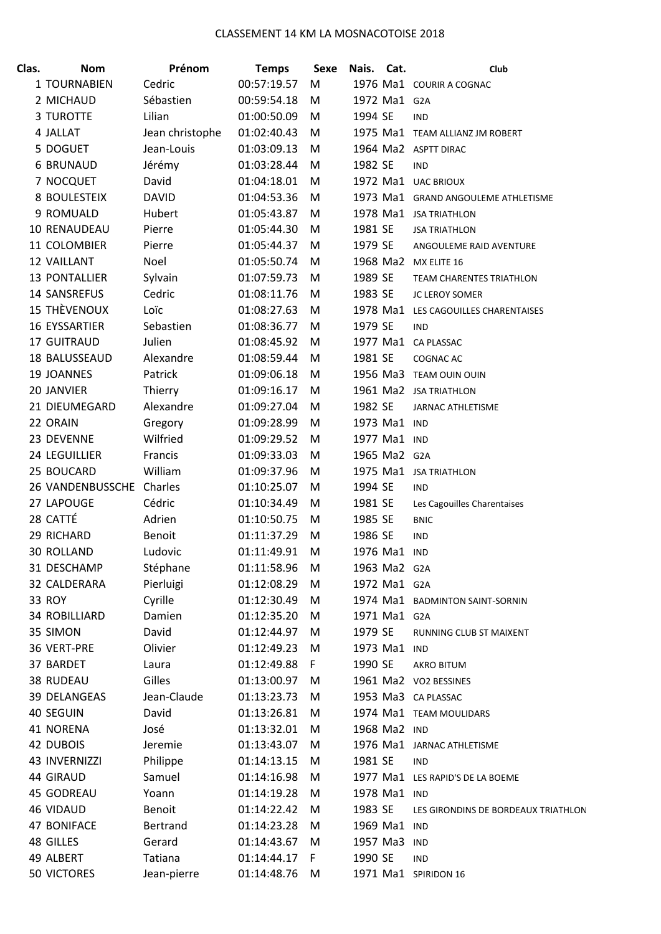| Clas. | <b>Nom</b>           | Prénom          | <b>Temps</b> | <b>Sexe</b> | Nais.        | Cat. | Club                                       |
|-------|----------------------|-----------------|--------------|-------------|--------------|------|--------------------------------------------|
|       | 1 TOURNABIEN         | Cedric          | 00:57:19.57  | М           |              |      | 1976 Ma1 COURIR A COGNAC                   |
|       | 2 MICHAUD            | Sébastien       | 00:59:54.18  | M           | 1972 Ma1 G2A |      |                                            |
|       | <b>3 TUROTTE</b>     | Lilian          | 01:00:50.09  | M           | 1994 SE      |      | <b>IND</b>                                 |
|       | 4 JALLAT             | Jean christophe | 01:02:40.43  | M           |              |      | 1975 Ma1 TEAM ALLIANZ JM ROBERT            |
|       | 5 DOGUET             | Jean-Louis      | 01:03:09.13  | M           |              |      | 1964 Ma2 ASPTT DIRAC                       |
|       | <b>6 BRUNAUD</b>     | Jérémy          | 01:03:28.44  | M           | 1982 SE      |      | <b>IND</b>                                 |
|       | 7 NOCQUET            | David           | 01:04:18.01  | M           |              |      | 1972 Ma1 UAC BRIOUX                        |
|       | 8 BOULESTEIX         | <b>DAVID</b>    | 01:04:53.36  | M           |              |      | 1973 Ma1 GRAND ANGOULEME ATHLETISME        |
|       | 9 ROMUALD            | Hubert          | 01:05:43.87  | M           |              |      | 1978 Ma1 JSA TRIATHLON                     |
|       | 10 RENAUDEAU         | Pierre          | 01:05:44.30  | M           | 1981 SE      |      | <b>JSA TRIATHLON</b>                       |
|       | 11 COLOMBIER         | Pierre          | 01:05:44.37  | M           | 1979 SE      |      | ANGOULEME RAID AVENTURE                    |
|       | 12 VAILLANT          | Noel            | 01:05:50.74  | M           | 1968 Ma2     |      | MX ELITE 16                                |
|       | <b>13 PONTALLIER</b> | Sylvain         | 01:07:59.73  | M           | 1989 SE      |      | <b>TEAM CHARENTES TRIATHLON</b>            |
|       | <b>14 SANSREFUS</b>  | Cedric          | 01:08:11.76  | M           | 1983 SE      |      | <b>JC LEROY SOMER</b>                      |
|       | <b>15 THÈVENOUX</b>  | Loïc            | 01:08:27.63  | M           |              |      | 1978 Ma1 LES CAGOUILLES CHARENTAISES       |
|       | <b>16 EYSSARTIER</b> | Sebastien       | 01:08:36.77  | M           | 1979 SE      |      | <b>IND</b>                                 |
|       | 17 GUITRAUD          | Julien          | 01:08:45.92  | M           | 1977 Ma1     |      | <b>CA PLASSAC</b>                          |
|       | 18 BALUSSEAUD        | Alexandre       | 01:08:59.44  | M           | 1981 SE      |      | <b>COGNAC AC</b>                           |
|       | <b>19 JOANNES</b>    | Patrick         | 01:09:06.18  | M           |              |      | 1956 Ma3 TEAM OUIN OUIN                    |
|       | 20 JANVIER           | Thierry         | 01:09:16.17  | M           |              |      | 1961 Ma2 JSA TRIATHLON                     |
|       | 21 DIEUMEGARD        | Alexandre       | 01:09:27.04  | M           | 1982 SE      |      | <b>JARNAC ATHLETISME</b>                   |
|       | 22 ORAIN             | Gregory         | 01:09:28.99  | M           | 1973 Ma1     |      | <b>IND</b>                                 |
|       | 23 DEVENNE           | Wilfried        | 01:09:29.52  | M           | 1977 Ma1     |      | <b>IND</b>                                 |
|       | 24 LEGUILLIER        | Francis         | 01:09:33.03  | M           | 1965 Ma2 G2A |      |                                            |
|       | 25 BOUCARD           | William         | 01:09:37.96  | M           |              |      | 1975 Ma1 JSA TRIATHLON                     |
|       | 26 VANDENBUSSCHE     | Charles         | 01:10:25.07  | M           | 1994 SE      |      | <b>IND</b>                                 |
|       | 27 LAPOUGE           | Cédric          | 01:10:34.49  | M           | 1981 SE      |      | Les Cagouilles Charentaises                |
|       | 28 CATTÉ             | Adrien          | 01:10:50.75  | M           | 1985 SE      |      | <b>BNIC</b>                                |
|       | 29 RICHARD           | <b>Benoit</b>   | 01:11:37.29  | M           | 1986 SE      |      | <b>IND</b>                                 |
|       | <b>30 ROLLAND</b>    | Ludovic         | 01:11:49.91  | M           | 1976 Ma1     |      | <b>IND</b>                                 |
|       | 31 DESCHAMP          | Stéphane        | 01:11:58.96  | M           | 1963 Ma2 G2A |      |                                            |
|       | 32 CALDERARA         | Pierluigi       | 01:12:08.29  | M           | 1972 Ma1 G2A |      |                                            |
|       | 33 ROY               | Cyrille         | 01:12:30.49  | M           |              |      | 1974 Ma1 BADMINTON SAINT-SORNIN            |
|       | <b>34 ROBILLIARD</b> | Damien          | 01:12:35.20  | M           | 1971 Ma1 G2A |      |                                            |
|       | 35 SIMON             | David           | 01:12:44.97  | M           | 1979 SE      |      | RUNNING CLUB ST MAIXENT                    |
|       | 36 VERT-PRE          | Olivier         | 01:12:49.23  | M           | 1973 Ma1 IND |      |                                            |
|       | 37 BARDET            |                 | 01:12:49.88  | F           | 1990 SE      |      |                                            |
|       | 38 RUDEAU            | Laura<br>Gilles | 01:13:00.97  | M           |              |      | <b>AKRO BITUM</b><br>1961 Ma2 VO2 BESSINES |
|       | 39 DELANGEAS         | Jean-Claude     | 01:13:23.73  |             |              |      | 1953 Ma3 CA PLASSAC                        |
|       |                      |                 | 01:13:26.81  | M           |              |      |                                            |
|       | 40 SEGUIN            | David           |              | M           |              |      | 1974 Ma1 TEAM MOULIDARS                    |
|       | 41 NORENA            | José<br>Jeremie | 01:13:32.01  | M           | 1968 Ma2 IND |      |                                            |
|       | 42 DUBOIS            |                 | 01:13:43.07  | M           |              |      | 1976 Ma1 JARNAC ATHLETISME                 |
|       | 43 INVERNIZZI        | Philippe        | 01:14:13.15  | M           | 1981 SE      |      | <b>IND</b>                                 |
|       | 44 GIRAUD            | Samuel          | 01:14:16.98  | M           |              |      | 1977 Ma1 LES RAPID'S DE LA BOEME           |
|       | 45 GODREAU           | Yoann           | 01:14:19.28  | M           | 1978 Ma1 IND |      |                                            |
|       | 46 VIDAUD            | Benoit          | 01:14:22.42  | M           | 1983 SE      |      | LES GIRONDINS DE BORDEAUX TRIATHLON        |
|       | 47 BONIFACE          | Bertrand        | 01:14:23.28  | M           | 1969 Ma1 IND |      |                                            |
|       | 48 GILLES            | Gerard          | 01:14:43.67  | M           | 1957 Ma3     |      | <b>IND</b>                                 |
|       | 49 ALBERT            | Tatiana         | 01:14:44.17  | F           | 1990 SE      |      | <b>IND</b>                                 |
|       | 50 VICTORES          | Jean-pierre     | 01:14:48.76  | M           |              |      | 1971 Ma1 SPIRIDON 16                       |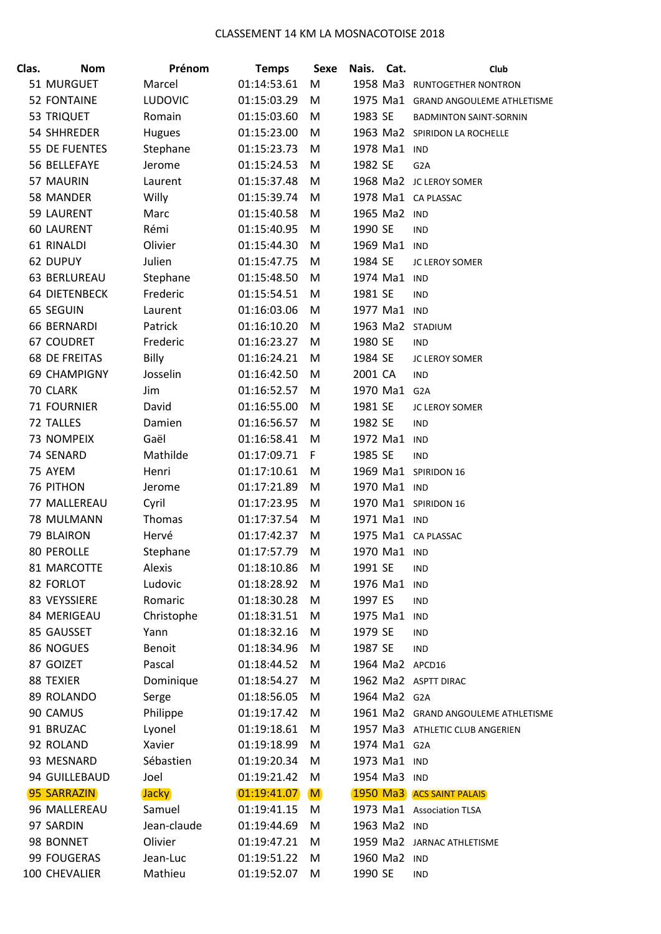| Clas. | <b>Nom</b>           | Prénom         | <b>Temps</b> | Sexe | Nais.    | Cat.         | Club                                |
|-------|----------------------|----------------|--------------|------|----------|--------------|-------------------------------------|
|       | 51 MURGUET           | Marcel         | 01:14:53.61  | М    |          |              | 1958 Ma3 RUNTOGETHER NONTRON        |
|       | <b>52 FONTAINE</b>   | <b>LUDOVIC</b> | 01:15:03.29  | M    |          |              | 1975 Ma1 GRAND ANGOULEME ATHLETISME |
|       | 53 TRIQUET           | Romain         | 01:15:03.60  | M    | 1983 SE  |              | <b>BADMINTON SAINT-SORNIN</b>       |
|       | 54 SHHREDER          | <b>Hugues</b>  | 01:15:23.00  | M    |          |              | 1963 Ma2 SPIRIDON LA ROCHELLE       |
|       | 55 DE FUENTES        | Stephane       | 01:15:23.73  | M    |          | 1978 Ma1 IND |                                     |
|       | 56 BELLEFAYE         | Jerome         | 01:15:24.53  | M    | 1982 SE  |              | G <sub>2</sub> A                    |
|       | 57 MAURIN            | Laurent        | 01:15:37.48  | M    |          |              | 1968 Ma2 JC LEROY SOMER             |
|       | 58 MANDER            | Willy          | 01:15:39.74  | M    |          |              | 1978 Ma1 CA PLASSAC                 |
|       | 59 LAURENT           | Marc           | 01:15:40.58  | M    |          | 1965 Ma2 IND |                                     |
|       | <b>60 LAURENT</b>    | Rémi           | 01:15:40.95  | M    | 1990 SE  |              | <b>IND</b>                          |
|       | 61 RINALDI           | Olivier        | 01:15:44.30  | M    |          | 1969 Ma1 IND |                                     |
|       | 62 DUPUY             | Julien         | 01:15:47.75  | M    | 1984 SE  |              | JC LEROY SOMER                      |
|       | 63 BERLUREAU         | Stephane       | 01:15:48.50  | M    |          | 1974 Ma1 IND |                                     |
|       | <b>64 DIETENBECK</b> | Frederic       | 01:15:54.51  | M    | 1981 SE  |              | <b>IND</b>                          |
|       | 65 SEGUIN            | Laurent        | 01:16:03.06  | M    |          | 1977 Ma1 IND |                                     |
|       | 66 BERNARDI          | Patrick        | 01:16:10.20  | M    |          |              | 1963 Ma2 STADIUM                    |
|       | <b>67 COUDRET</b>    | Frederic       | 01:16:23.27  | M    | 1980 SE  |              | <b>IND</b>                          |
|       | <b>68 DE FREITAS</b> | <b>Billy</b>   | 01:16:24.21  | M    | 1984 SE  |              | <b>JC LEROY SOMER</b>               |
|       | <b>69 CHAMPIGNY</b>  | Josselin       | 01:16:42.50  | M    | 2001 CA  |              | <b>IND</b>                          |
|       | 70 CLARK             | Jim            | 01:16:52.57  | M    |          | 1970 Ma1     | G <sub>2</sub> A                    |
|       | <b>71 FOURNIER</b>   | David          | 01:16:55.00  | M    | 1981 SE  |              | <b>JC LEROY SOMER</b>               |
|       | 72 TALLES            | Damien         | 01:16:56.57  | M    | 1982 SE  |              | IND                                 |
|       | 73 NOMPEIX           | Gaël           | 01:16:58.41  | M    |          | 1972 Ma1 IND |                                     |
|       | 74 SENARD            | Mathilde       | 01:17:09.71  | F.   | 1985 SE  |              | <b>IND</b>                          |
|       | 75 AYEM              | Henri          | 01:17:10.61  | M    |          |              | 1969 Ma1 SPIRIDON 16                |
|       | 76 PITHON            | Jerome         | 01:17:21.89  | M    |          | 1970 Ma1 IND |                                     |
|       | 77 MALLEREAU         | Cyril          | 01:17:23.95  | M    |          |              | 1970 Ma1 SPIRIDON 16                |
|       | 78 MULMANN           | Thomas         | 01:17:37.54  | M    |          | 1971 Ma1 IND |                                     |
|       | 79 BLAIRON           | Hervé          | 01:17:42.37  | M    |          |              | 1975 Ma1 CA PLASSAC                 |
|       | 80 PEROLLE           | Stephane       | 01:17:57.79  | M    |          | 1970 Ma1 IND |                                     |
|       | 81 MARCOTTE          | Alexis         | 01:18:10.86  | M    | 1991 SE  |              | IND                                 |
|       | 82 FORLOT            | Ludovic        | 01:18:28.92  | M    | 1976 Ma1 |              | IND                                 |
|       | 83 VEYSSIERE         | Romaric        | 01:18:30.28  | M    | 1997 ES  |              | <b>IND</b>                          |
|       | 84 MERIGEAU          | Christophe     | 01:18:31.51  | М    | 1975 Ma1 |              | IND                                 |
|       | 85 GAUSSET           | Yann           | 01:18:32.16  | M    | 1979 SE  |              | <b>IND</b>                          |
|       | 86 NOGUES            | <b>Benoit</b>  | 01:18:34.96  | M    | 1987 SE  |              | <b>IND</b>                          |
|       | 87 GOIZET            | Pascal         | 01:18:44.52  | M    |          |              | 1964 Ma2 APCD16                     |
|       | 88 TEXIER            | Dominique      | 01:18:54.27  | M    |          |              | 1962 Ma2 ASPTT DIRAC                |
|       | 89 ROLANDO           | Serge          | 01:18:56.05  | M    |          | 1964 Ma2 G2A |                                     |
|       | 90 CAMUS             | Philippe       | 01:19:17.42  | M    |          |              | 1961 Ma2 GRAND ANGOULEME ATHLETISME |
|       | 91 BRUZAC            | Lyonel         | 01:19:18.61  | M    |          |              | 1957 Ma3 ATHLETIC CLUB ANGERIEN     |
|       | 92 ROLAND            | Xavier         | 01:19:18.99  | M    |          | 1974 Ma1 G2A |                                     |
|       | 93 MESNARD           | Sébastien      | 01:19:20.34  | M    |          | 1973 Ma1 IND |                                     |
|       | 94 GUILLEBAUD        | Joel           | 01:19:21.42  | M    |          | 1954 Ma3 IND |                                     |
|       | 95 SARRAZIN          | <b>Jacky</b>   | 01:19:41.07  | M    |          |              | <b>1950 Ma3</b> ACS SAINT PALAIS    |
|       | 96 MALLEREAU         | Samuel         | 01:19:41.15  | M    |          |              | 1973 Ma1 Association TLSA           |
|       | 97 SARDIN            | Jean-claude    | 01:19:44.69  | M    |          | 1963 Ma2 IND |                                     |
|       | 98 BONNET            | Olivier        | 01:19:47.21  | M    |          |              | 1959 Ma2 JARNAC ATHLETISME          |
|       | 99 FOUGERAS          | Jean-Luc       | 01:19:51.22  | M    |          | 1960 Ma2 IND |                                     |
|       | 100 CHEVALIER        | Mathieu        | 01:19:52.07  | M    | 1990 SE  |              | <b>IND</b>                          |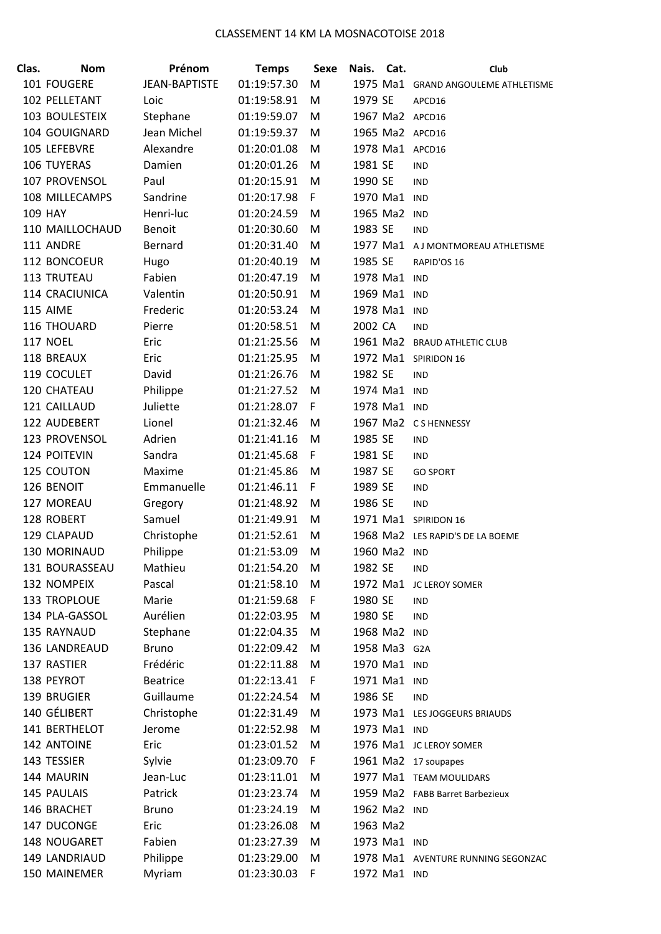| Clas. | <b>Nom</b>      | Prénom               | <b>Temps</b> | <b>Sexe</b> | Nais.        | Cat.         | Club                                |
|-------|-----------------|----------------------|--------------|-------------|--------------|--------------|-------------------------------------|
|       | 101 FOUGERE     | <b>JEAN-BAPTISTE</b> | 01:19:57.30  | M           |              |              | 1975 Ma1 GRAND ANGOULEME ATHLETISME |
|       | 102 PELLETANT   | Loic                 | 01:19:58.91  | M           | 1979 SE      |              | APCD16                              |
|       | 103 BOULESTEIX  | Stephane             | 01:19:59.07  | M           |              |              | 1967 Ma2 APCD16                     |
|       | 104 GOUIGNARD   | Jean Michel          | 01:19:59.37  | M           |              |              | 1965 Ma2 APCD16                     |
|       | 105 LEFEBVRE    | Alexandre            | 01:20:01.08  | M           |              |              | 1978 Ma1 APCD16                     |
|       | 106 TUYERAS     | Damien               | 01:20:01.26  | M           | 1981 SE      |              | <b>IND</b>                          |
|       | 107 PROVENSOL   | Paul                 | 01:20:15.91  | M           | 1990 SE      |              | <b>IND</b>                          |
|       | 108 MILLECAMPS  | Sandrine             | 01:20:17.98  | F           | 1970 Ma1 IND |              |                                     |
|       | <b>109 HAY</b>  | Henri-luc            | 01:20:24.59  | M           | 1965 Ma2 IND |              |                                     |
|       | 110 MAILLOCHAUD | Benoit               | 01:20:30.60  | M           | 1983 SE      |              | <b>IND</b>                          |
|       | 111 ANDRE       | Bernard              | 01:20:31.40  | M           |              |              | 1977 Ma1 AJ MONTMOREAU ATHLETISME   |
|       | 112 BONCOEUR    | Hugo                 | 01:20:40.19  | M           | 1985 SE      |              | RAPID'OS 16                         |
|       | 113 TRUTEAU     | Fabien               | 01:20:47.19  | M           | 1978 Ma1 IND |              |                                     |
|       | 114 CRACIUNICA  | Valentin             | 01:20:50.91  | M           | 1969 Ma1 IND |              |                                     |
|       | 115 AIME        | Frederic             | 01:20:53.24  | M           | 1978 Ma1 IND |              |                                     |
|       | 116 THOUARD     | Pierre               | 01:20:58.51  | M           | 2002 CA      |              | <b>IND</b>                          |
|       | <b>117 NOEL</b> | Eric                 | 01:21:25.56  | M           |              |              | 1961 Ma2 BRAUD ATHLETIC CLUB        |
|       | 118 BREAUX      | Eric                 | 01:21:25.95  | M           |              |              | 1972 Ma1 SPIRIDON 16                |
|       | 119 COCULET     | David                | 01:21:26.76  | M           | 1982 SE      |              | <b>IND</b>                          |
|       | 120 CHATEAU     | Philippe             | 01:21:27.52  | M           | 1974 Ma1 IND |              |                                     |
|       | 121 CAILLAUD    | Juliette             | 01:21:28.07  | F           | 1978 Ma1 IND |              |                                     |
|       | 122 AUDEBERT    | Lionel               | 01:21:32.46  | M           |              |              | 1967 Ma2 CS HENNESSY                |
|       | 123 PROVENSOL   | Adrien               | 01:21:41.16  | M           | 1985 SE      |              | <b>IND</b>                          |
|       | 124 POITEVIN    | Sandra               | 01:21:45.68  | F           | 1981 SE      |              | <b>IND</b>                          |
|       | 125 COUTON      | Maxime               | 01:21:45.86  | M           | 1987 SE      |              | <b>GO SPORT</b>                     |
|       | 126 BENOIT      | Emmanuelle           | 01:21:46.11  | F           | 1989 SE      |              | <b>IND</b>                          |
|       | 127 MOREAU      | Gregory              | 01:21:48.92  | M           | 1986 SE      |              | <b>IND</b>                          |
|       | 128 ROBERT      | Samuel               | 01:21:49.91  | M           |              |              | 1971 Ma1 SPIRIDON 16                |
|       | 129 CLAPAUD     | Christophe           | 01:21:52.61  | M           |              |              | 1968 Ma2 LES RAPID'S DE LA BOEME    |
|       | 130 MORINAUD    | Philippe             | 01:21:53.09  | M           |              | 1960 Ma2 IND |                                     |
|       | 131 BOURASSEAU  | Mathieu              | 01:21:54.20  | M           | 1982 SE      |              | IND                                 |
|       | 132 NOMPEIX     | Pascal               | 01:21:58.10  | M           | 1972 Ma1     |              | JC LEROY SOMER                      |
|       | 133 TROPLOUE    | Marie                | 01:21:59.68  | F           | 1980 SE      |              | <b>IND</b>                          |
|       | 134 PLA-GASSOL  | Aurélien             | 01:22:03.95  | M           | 1980 SE      |              | <b>IND</b>                          |
|       | 135 RAYNAUD     | Stephane             | 01:22:04.35  | M           |              | 1968 Ma2 IND |                                     |
|       | 136 LANDREAUD   | <b>Bruno</b>         | 01:22:09.42  | M           | 1958 Ma3 G2A |              |                                     |
|       | 137 RASTIER     | Frédéric             | 01:22:11.88  | M           | 1970 Ma1 IND |              |                                     |
|       | 138 PEYROT      | <b>Beatrice</b>      | 01:22:13.41  | F           |              | 1971 Ma1 IND |                                     |
|       | 139 BRUGIER     | Guillaume            | 01:22:24.54  | M           | 1986 SE      |              | <b>IND</b>                          |
|       | 140 GÉLIBERT    | Christophe           | 01:22:31.49  | M           |              |              | 1973 Ma1 LES JOGGEURS BRIAUDS       |
|       | 141 BERTHELOT   | Jerome               | 01:22:52.98  | M           | 1973 Ma1 IND |              |                                     |
|       | 142 ANTOINE     | Eric                 | 01:23:01.52  | M           |              |              | 1976 Ma1 JC LEROY SOMER             |
|       | 143 TESSIER     | Sylvie               | 01:23:09.70  | F           |              |              | 1961 Ma2 17 soupapes                |
|       | 144 MAURIN      | Jean-Luc             | 01:23:11.01  | M           |              |              | 1977 Ma1 TEAM MOULIDARS             |
|       | 145 PAULAIS     | Patrick              | 01:23:23.74  | M           |              |              | 1959 Ma2 FABB Barret Barbezieux     |
|       | 146 BRACHET     | <b>Bruno</b>         | 01:23:24.19  | M           |              | 1962 Ma2 IND |                                     |
|       | 147 DUCONGE     | Eric                 | 01:23:26.08  | M           | 1963 Ma2     |              |                                     |
|       | 148 NOUGARET    | Fabien               | 01:23:27.39  | M           |              | 1973 Ma1 IND |                                     |
|       | 149 LANDRIAUD   | Philippe             | 01:23:29.00  | M           |              |              | 1978 Ma1 AVENTURE RUNNING SEGONZAC  |
|       | 150 MAINEMER    | Myriam               | 01:23:30.03  | $\mathsf F$ |              | 1972 Ma1 IND |                                     |
|       |                 |                      |              |             |              |              |                                     |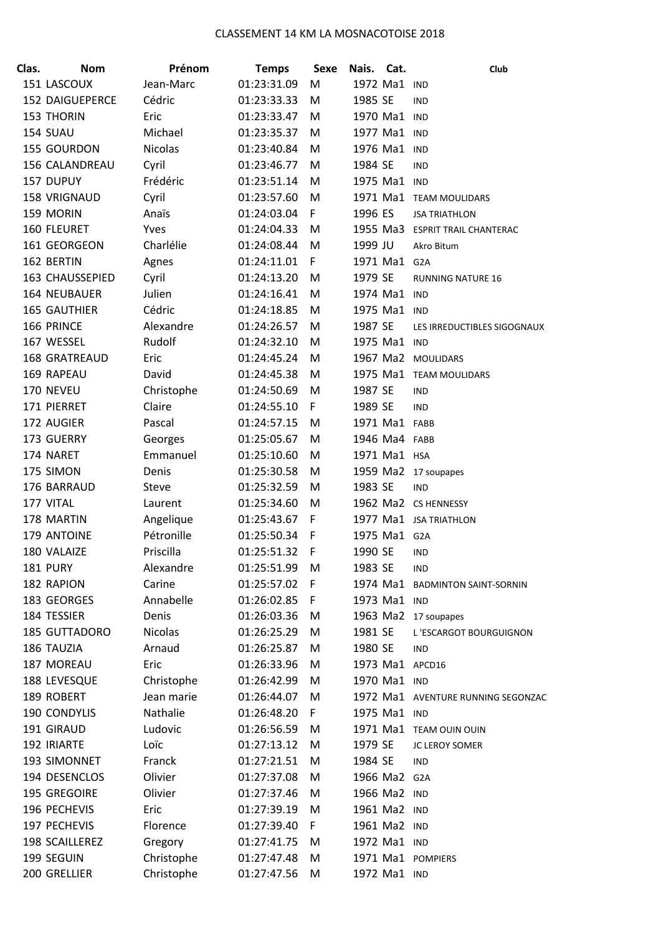| Clas. | <b>Nom</b>             | Prénom         | <b>Temps</b> | <b>Sexe</b> | Nais.    | Cat.          | Club                               |
|-------|------------------------|----------------|--------------|-------------|----------|---------------|------------------------------------|
|       | 151 LASCOUX            | Jean-Marc      | 01:23:31.09  | M           |          | 1972 Ma1      | <b>IND</b>                         |
|       | <b>152 DAIGUEPERCE</b> | Cédric         | 01:23:33.33  | M           | 1985 SE  |               | <b>IND</b>                         |
|       | <b>153 THORIN</b>      | Eric           | 01:23:33.47  | М           | 1970 Ma1 |               | IND                                |
|       | 154 SUAU               | Michael        | 01:23:35.37  | M           |          | 1977 Ma1 IND  |                                    |
|       | 155 GOURDON            | <b>Nicolas</b> | 01:23:40.84  | M           |          | 1976 Ma1      | <b>IND</b>                         |
|       | <b>156 CALANDREAU</b>  | Cyril          | 01:23:46.77  | M           | 1984 SE  |               | <b>IND</b>                         |
|       | 157 DUPUY              | Frédéric       | 01:23:51.14  | M           | 1975 Ma1 |               | <b>IND</b>                         |
|       | 158 VRIGNAUD           | Cyril          | 01:23:57.60  | M           |          | 1971 Ma1      | <b>TEAM MOULIDARS</b>              |
|       | 159 MORIN              | Anaïs          | 01:24:03.04  | F           | 1996 ES  |               | <b>JSA TRIATHLON</b>               |
|       | 160 FLEURET            | Yves           | 01:24:04.33  | M           |          |               | 1955 Ma3 ESPRIT TRAIL CHANTERAC    |
|       | 161 GEORGEON           | Charlélie      | 01:24:08.44  | M           | 1999 JU  |               | Akro Bitum                         |
|       | 162 BERTIN             | Agnes          | 01:24:11.01  | F           |          | 1971 Ma1      | G <sub>2</sub> A                   |
|       | 163 CHAUSSEPIED        | Cyril          | 01:24:13.20  | M           | 1979 SE  |               | <b>RUNNING NATURE 16</b>           |
|       | 164 NEUBAUER           | Julien         | 01:24:16.41  | M           |          | 1974 Ma1      | <b>IND</b>                         |
|       | <b>165 GAUTHIER</b>    | Cédric         | 01:24:18.85  | M           | 1975 Ma1 |               | IND                                |
|       | 166 PRINCE             | Alexandre      | 01:24:26.57  | M           | 1987 SE  |               | LES IRREDUCTIBLES SIGOGNAUX        |
|       | 167 WESSEL             | Rudolf         | 01:24:32.10  | M           |          | 1975 Ma1      | <b>IND</b>                         |
|       | <b>168 GRATREAUD</b>   | Eric           | 01:24:45.24  | M           |          |               | 1967 Ma2 MOULIDARS                 |
|       | 169 RAPEAU             | David          | 01:24:45.38  | M           |          |               | 1975 Ma1 TEAM MOULIDARS            |
|       | 170 NEVEU              | Christophe     | 01:24:50.69  | M           | 1987 SE  |               | IND                                |
|       | 171 PIERRET            | Claire         | 01:24:55.10  | F           | 1989 SE  |               | <b>IND</b>                         |
|       | 172 AUGIER             | Pascal         | 01:24:57.15  | M           |          | 1971 Ma1      | FABB                               |
|       | 173 GUERRY             | Georges        | 01:25:05.67  | M           |          | 1946 Ma4 FABB |                                    |
|       | 174 NARET              | Emmanuel       | 01:25:10.60  | M           |          | 1971 Ma1 HSA  |                                    |
|       | 175 SIMON              | Denis          | 01:25:30.58  | M           |          |               | 1959 Ma2 17 soupapes               |
|       | 176 BARRAUD            | <b>Steve</b>   | 01:25:32.59  | M           | 1983 SE  |               | <b>IND</b>                         |
|       | 177 VITAL              | Laurent        | 01:25:34.60  | M           |          |               | 1962 Ma2 CS HENNESSY               |
|       | 178 MARTIN             | Angelique      | 01:25:43.67  | F           |          |               | 1977 Ma1 JSA TRIATHLON             |
|       | 179 ANTOINE            | Pétronille     | 01:25:50.34  | F           |          | 1975 Ma1      | G <sub>2</sub> A                   |
|       | 180 VALAIZE            | Priscilla      | 01:25:51.32  | F           | 1990 SE  |               | <b>IND</b>                         |
|       | <b>181 PURY</b>        | Alexandre      | 01:25:51.99  | M           | 1983 SE  |               | <b>IND</b>                         |
|       | 182 RAPION             | Carine         | 01:25:57.02  | F           |          | 1974 Ma1      | <b>BADMINTON SAINT-SORNIN</b>      |
|       | 183 GEORGES            | Annabelle      | 01:26:02.85  | F           |          | 1973 Ma1 IND  |                                    |
|       | 184 TESSIER            | Denis          | 01:26:03.36  | M           |          | 1963 Ma2      | 17 soupapes                        |
|       | <b>185 GUTTADORO</b>   | <b>Nicolas</b> | 01:26:25.29  | M           | 1981 SE  |               | L'ESCARGOT BOURGUIGNON             |
|       | 186 TAUZIA             | Arnaud         | 01:26:25.87  | M           | 1980 SE  |               | <b>IND</b>                         |
|       | 187 MOREAU             | Eric           | 01:26:33.96  | M           |          |               | 1973 Ma1 APCD16                    |
|       | 188 LEVESQUE           | Christophe     | 01:26:42.99  | M           |          | 1970 Ma1 IND  |                                    |
|       | 189 ROBERT             | Jean marie     | 01:26:44.07  | M           |          |               | 1972 Ma1 AVENTURE RUNNING SEGONZAC |
|       | 190 CONDYLIS           | Nathalie       | 01:26:48.20  | F.          |          | 1975 Ma1 IND  |                                    |
|       | 191 GIRAUD             | Ludovic        | 01:26:56.59  | M           |          |               | 1971 Ma1 TEAM OUIN OUIN            |
|       | 192 IRIARTE            | Loïc           | 01:27:13.12  | M           | 1979 SE  |               | JC LEROY SOMER                     |
|       | 193 SIMONNET           | Franck         | 01:27:21.51  | M           | 1984 SE  |               | <b>IND</b>                         |
|       | 194 DESENCLOS          | Olivier        | 01:27:37.08  | M           |          | 1966 Ma2 G2A  |                                    |
|       | 195 GREGOIRE           | Olivier        | 01:27:37.46  | M           |          | 1966 Ma2 IND  |                                    |
|       | 196 PECHEVIS           | Eric           | 01:27:39.19  | M           |          | 1961 Ma2 IND  |                                    |
|       | 197 PECHEVIS           | Florence       | 01:27:39.40  | F           |          | 1961 Ma2 IND  |                                    |
|       | 198 SCAILLEREZ         | Gregory        | 01:27:41.75  | M           |          | 1972 Ma1 IND  |                                    |
|       | 199 SEGUIN             | Christophe     | 01:27:47.48  | M           |          |               | 1971 Ma1 POMPIERS                  |
|       | 200 GRELLIER           | Christophe     | 01:27:47.56  | M           |          | 1972 Ma1 IND  |                                    |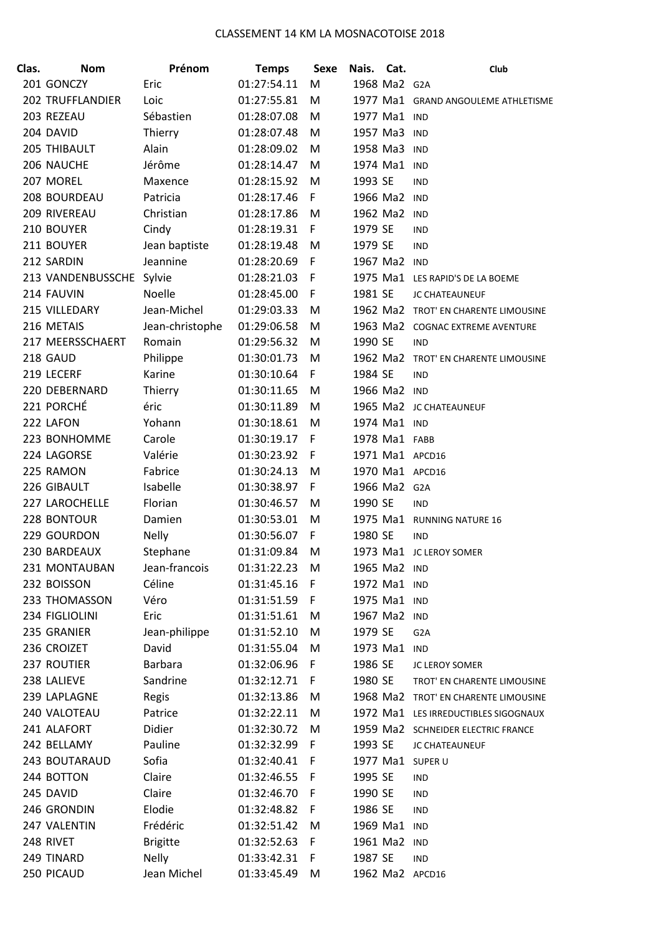| Clas. | <b>Nom</b>              | Prénom          | <b>Temps</b> | Sexe | Cat.<br>Nais.    | Club                                 |
|-------|-------------------------|-----------------|--------------|------|------------------|--------------------------------------|
|       | 201 GONCZY              | Eric            | 01:27:54.11  | M    | 1968 Ma2 G2A     |                                      |
|       | <b>202 TRUFFLANDIER</b> | Loic            | 01:27:55.81  | M    |                  | 1977 Ma1 GRAND ANGOULEME ATHLETISME  |
|       | 203 REZEAU              | Sébastien       | 01:28:07.08  | M    | 1977 Ma1         | <b>IND</b>                           |
|       | 204 DAVID               | Thierry         | 01:28:07.48  | M    | 1957 Ma3         | IND                                  |
|       | 205 THIBAULT            | Alain           | 01:28:09.02  | M    | 1958 Ma3         | IND                                  |
|       | 206 NAUCHE              | Jérôme          | 01:28:14.47  | M    | 1974 Ma1         | <b>IND</b>                           |
|       | 207 MOREL               | Maxence         | 01:28:15.92  | M    | 1993 SE          | <b>IND</b>                           |
|       | 208 BOURDEAU            | Patricia        | 01:28:17.46  | F    | 1966 Ma2         | IND                                  |
|       | 209 RIVEREAU            | Christian       | 01:28:17.86  | M    | 1962 Ma2         | IND                                  |
|       | 210 BOUYER              | Cindy           | 01:28:19.31  | F.   | 1979 SE          | <b>IND</b>                           |
|       | 211 BOUYER              | Jean baptiste   | 01:28:19.48  | M    | 1979 SE          | <b>IND</b>                           |
|       | 212 SARDIN              | Jeannine        | 01:28:20.69  | F    | 1967 Ma2         | <b>IND</b>                           |
|       | 213 VANDENBUSSCHE       | Sylvie          | 01:28:21.03  | F    |                  | 1975 Ma1 LES RAPID'S DE LA BOEME     |
|       | 214 FAUVIN              | Noelle          | 01:28:45.00  | F    | 1981 SE          | JC CHATEAUNEUF                       |
|       | 215 VILLEDARY           | Jean-Michel     | 01:29:03.33  | M    |                  | 1962 Ma2 TROT' EN CHARENTE LIMOUSINE |
|       | 216 METAIS              | Jean-christophe | 01:29:06.58  | M    |                  | 1963 Ma2 COGNAC EXTREME AVENTURE     |
|       | 217 MEERSSCHAERT        | Romain          | 01:29:56.32  | M    | 1990 SE          | <b>IND</b>                           |
|       | 218 GAUD                | Philippe        | 01:30:01.73  | M    | 1962 Ma2         | TROT' EN CHARENTE LIMOUSINE          |
|       | 219 LECERF              | Karine          | 01:30:10.64  | F.   | 1984 SE          | <b>IND</b>                           |
|       | 220 DEBERNARD           | Thierry         | 01:30:11.65  | M    | 1966 Ma2 IND     |                                      |
|       | 221 PORCHÉ              | éric            | 01:30:11.89  | M    |                  | 1965 Ma2 JC CHATEAUNEUF              |
|       | 222 LAFON               | Yohann          | 01:30:18.61  | M    | 1974 Ma1         | IND                                  |
|       | 223 BONHOMME            | Carole          | 01:30:19.17  | F.   | 1978 Ma1 FABB    |                                      |
|       | 224 LAGORSE             | Valérie         | 01:30:23.92  | F    | 1971 Ma1 APCD16  |                                      |
|       | 225 RAMON               | Fabrice         | 01:30:24.13  | M    | 1970 Ma1 APCD16  |                                      |
|       | 226 GIBAULT             | Isabelle        | 01:30:38.97  | F.   | 1966 Ma2 G2A     |                                      |
|       | 227 LAROCHELLE          | Florian         | 01:30:46.57  | M    | 1990 SE          | <b>IND</b>                           |
|       | 228 BONTOUR             | Damien          | 01:30:53.01  | M    | 1975 Ma1         | <b>RUNNING NATURE 16</b>             |
|       | 229 GOURDON             | <b>Nelly</b>    | 01:30:56.07  | F.   | 1980 SE          | <b>IND</b>                           |
|       | 230 BARDEAUX            | Stephane        | 01:31:09.84  | м    |                  | 1973 Ma1 JC LEROY SOMER              |
|       | 231 MONTAUBAN           | Jean-francois   | 01:31:22.23  | M    | 1965 Ma2 IND     |                                      |
|       | 232 BOISSON             | Céline          | 01:31:45.16  | -F   | 1972 Ma1 IND     |                                      |
|       | 233 THOMASSON           | Véro            | 01:31:51.59  | F.   | 1975 Ma1 IND     |                                      |
|       | 234 FIGLIOLINI          | Eric            | 01:31:51.61  | M    | 1967 Ma2 IND     |                                      |
|       | 235 GRANIER             | Jean-philippe   | 01:31:52.10  | M    | 1979 SE          | G <sub>2</sub> A                     |
|       | 236 CROIZET             | David           | 01:31:55.04  | M    | 1973 Ma1         | IND                                  |
|       | 237 ROUTIER             | Barbara         | 01:32:06.96  | -F   | 1986 SE          | JC LEROY SOMER                       |
|       | 238 LALIEVE             | Sandrine        | 01:32:12.71  | F    | 1980 SE          | TROT' EN CHARENTE LIMOUSINE          |
|       | 239 LAPLAGNE            | Regis           | 01:32:13.86  | M    |                  | 1968 Ma2 TROT' EN CHARENTE LIMOUSINE |
|       | 240 VALOTEAU            | Patrice         | 01:32:22.11  | M    |                  | 1972 Ma1 LES IRREDUCTIBLES SIGOGNAUX |
|       | 241 ALAFORT             | Didier          | 01:32:30.72  | M    |                  | 1959 Ma2 SCHNEIDER ELECTRIC FRANCE   |
|       | 242 BELLAMY             | Pauline         | 01:32:32.99  | -F   | 1993 SE          | JC CHATEAUNEUF                       |
|       | 243 BOUTARAUD           | Sofia           | 01:32:40.41  | -F   | 1977 Ma1 SUPER U |                                      |
|       | 244 BOTTON              | Claire          | 01:32:46.55  | - F  | 1995 SE          | <b>IND</b>                           |
|       | 245 DAVID               | Claire          | 01:32:46.70  | F    | 1990 SE          | <b>IND</b>                           |
|       | 246 GRONDIN             | Elodie          | 01:32:48.82  | - F  | 1986 SE          | <b>IND</b>                           |
|       | 247 VALENTIN            | Frédéric        | 01:32:51.42  | M    | 1969 Ma1         | <b>IND</b>                           |
|       | 248 RIVET               | <b>Brigitte</b> | 01:32:52.63  | F    | 1961 Ma2         | <b>IND</b>                           |
|       | 249 TINARD              | <b>Nelly</b>    | 01:33:42.31  | -F   | 1987 SE          | <b>IND</b>                           |
|       | 250 PICAUD              | Jean Michel     | 01:33:45.49  | M    | 1962 Ma2 APCD16  |                                      |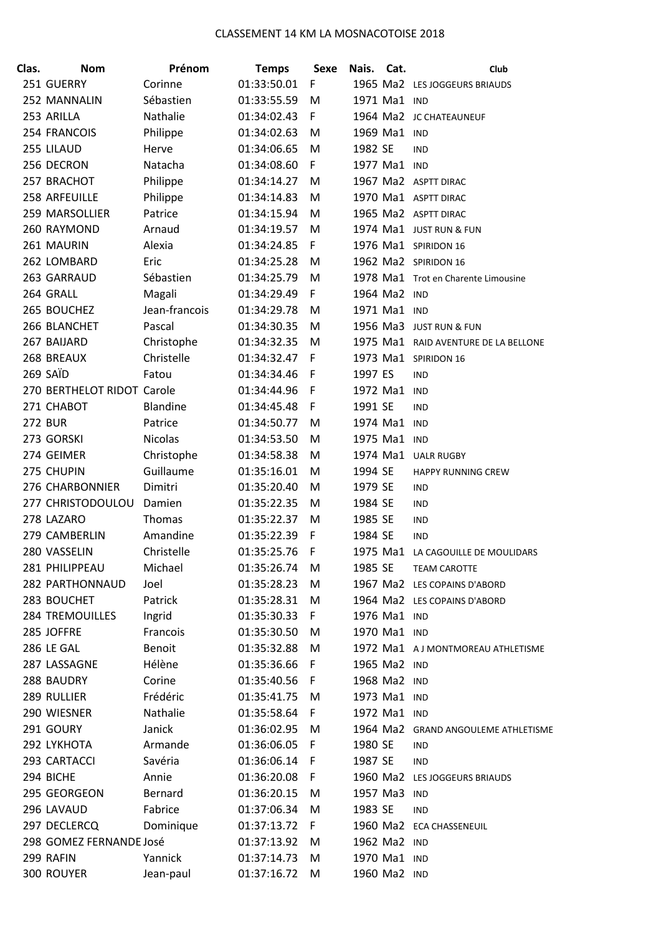| Clas. | <b>Nom</b>                 | Prénom          | <b>Temps</b> | <b>Sexe</b> | Nais.   | Cat.         | Club                                 |
|-------|----------------------------|-----------------|--------------|-------------|---------|--------------|--------------------------------------|
|       | 251 GUERRY                 | Corinne         | 01:33:50.01  | F           |         |              | 1965 Ma2 LES JOGGEURS BRIAUDS        |
|       | 252 MANNALIN               | Sébastien       | 01:33:55.59  | M           |         | 1971 Ma1 IND |                                      |
|       | 253 ARILLA                 | Nathalie        | 01:34:02.43  | F           |         |              | 1964 Ma2 JC CHATEAUNEUF              |
|       | 254 FRANCOIS               | Philippe        | 01:34:02.63  | M           |         | 1969 Ma1 IND |                                      |
|       | 255 LILAUD                 | Herve           | 01:34:06.65  | M           | 1982 SE |              | <b>IND</b>                           |
|       | 256 DECRON                 | Natacha         | 01:34:08.60  | F           |         | 1977 Ma1 IND |                                      |
|       | 257 BRACHOT                | Philippe        | 01:34:14.27  | M           |         |              | 1967 Ma2 ASPTT DIRAC                 |
|       | 258 ARFEUILLE              | Philippe        | 01:34:14.83  | M           |         |              | 1970 Ma1 ASPTT DIRAC                 |
|       | 259 MARSOLLIER             | Patrice         | 01:34:15.94  | M           |         |              | 1965 Ma2 ASPTT DIRAC                 |
|       | 260 RAYMOND                | Arnaud          | 01:34:19.57  | M           |         |              | 1974 Ma1 JUST RUN & FUN              |
|       | 261 MAURIN                 | Alexia          | 01:34:24.85  | F           |         |              | 1976 Ma1 SPIRIDON 16                 |
|       | 262 LOMBARD                | Eric            | 01:34:25.28  | M           |         |              | 1962 Ma2 SPIRIDON 16                 |
|       | 263 GARRAUD                | Sébastien       | 01:34:25.79  | M           |         |              | 1978 Ma1 Trot en Charente Limousine  |
|       | 264 GRALL                  | Magali          | 01:34:29.49  | F           |         | 1964 Ma2 IND |                                      |
|       | 265 BOUCHEZ                | Jean-francois   | 01:34:29.78  | M           |         | 1971 Ma1 IND |                                      |
|       | 266 BLANCHET               | Pascal          | 01:34:30.35  | M           |         |              | 1956 Ma3 JUST RUN & FUN              |
|       | 267 BAIJARD                | Christophe      | 01:34:32.35  | M           |         |              | 1975 Ma1 RAID AVENTURE DE LA BELLONE |
|       | 268 BREAUX                 | Christelle      | 01:34:32.47  | F           |         |              | 1973 Ma1 SPIRIDON 16                 |
|       | 269 SAÏD                   | Fatou           | 01:34:34.46  | F           | 1997 ES |              | <b>IND</b>                           |
|       | 270 BERTHELOT RIDOT Carole |                 | 01:34:44.96  | F           |         | 1972 Ma1     | <b>IND</b>                           |
|       | 271 CHABOT                 | <b>Blandine</b> | 01:34:45.48  | F           | 1991 SE |              | <b>IND</b>                           |
|       | <b>272 BUR</b>             | Patrice         | 01:34:50.77  | M           |         | 1974 Ma1     | IND                                  |
|       | 273 GORSKI                 | <b>Nicolas</b>  | 01:34:53.50  | M           |         | 1975 Ma1 IND |                                      |
|       | 274 GEIMER                 | Christophe      | 01:34:58.38  | M           |         |              | 1974 Ma1 UALR RUGBY                  |
|       | 275 CHUPIN                 | Guillaume       | 01:35:16.01  | M           | 1994 SE |              | <b>HAPPY RUNNING CREW</b>            |
|       | 276 CHARBONNIER            | Dimitri         | 01:35:20.40  | M           | 1979 SE |              | <b>IND</b>                           |
|       | 277 CHRISTODOULOU          | Damien          | 01:35:22.35  | M           | 1984 SE |              | IND                                  |
|       | 278 LAZARO                 | Thomas          | 01:35:22.37  | M           | 1985 SE |              | IND                                  |
|       | 279 CAMBERLIN              | Amandine        | 01:35:22.39  | F           | 1984 SE |              | IND                                  |
|       | 280 VASSELIN               | Christelle      | 01:35:25.76  | F           |         |              | 1975 Ma1 LA CAGOUILLE DE MOULIDARS   |
|       | 281 PHILIPPEAU             | Michael         | 01:35:26.74  | M           | 1985 SE |              | <b>TEAM CAROTTE</b>                  |
|       | 282 PARTHONNAUD            | Joel            | 01:35:28.23  | M           |         |              | 1967 Ma2 LES COPAINS D'ABORD         |
|       | 283 BOUCHET                | Patrick         | 01:35:28.31  | M           |         |              | 1964 Ma2 LES COPAINS D'ABORD         |
|       | <b>284 TREMOUILLES</b>     | Ingrid          | 01:35:30.33  | F           |         | 1976 Ma1 IND |                                      |
|       | 285 JOFFRE                 | Francois        | 01:35:30.50  | M           |         | 1970 Ma1 IND |                                      |
|       | 286 LE GAL                 | <b>Benoit</b>   | 01:35:32.88  | M           |         |              | 1972 Ma1 AJ MONTMOREAU ATHLETISME    |
|       | 287 LASSAGNE               | Hélène          | 01:35:36.66  | F           |         | 1965 Ma2 IND |                                      |
|       | 288 BAUDRY                 | Corine          | 01:35:40.56  | F           |         | 1968 Ma2 IND |                                      |
|       | 289 RULLIER                | Frédéric        | 01:35:41.75  | M           |         | 1973 Ma1 IND |                                      |
|       | 290 WIESNER                | Nathalie        | 01:35:58.64  | F           |         | 1972 Ma1 IND |                                      |
|       | 291 GOURY                  | Janick          | 01:36:02.95  | M           |         |              | 1964 Ma2 GRAND ANGOULEME ATHLETISME  |
|       | 292 LYKHOTA                | Armande         | 01:36:06.05  | F           | 1980 SE |              | <b>IND</b>                           |
|       | 293 CARTACCI               | Savéria         | 01:36:06.14  | F           | 1987 SE |              | <b>IND</b>                           |
|       | 294 BICHE                  | Annie           | 01:36:20.08  | F           |         |              | 1960 Ma2 LES JOGGEURS BRIAUDS        |
|       | 295 GEORGEON               | Bernard         | 01:36:20.15  | M           |         | 1957 Ma3 IND |                                      |
|       | 296 LAVAUD                 | Fabrice         | 01:37:06.34  | M           | 1983 SE |              | <b>IND</b>                           |
|       | 297 DECLERCQ               | Dominique       | 01:37:13.72  | F           |         |              | 1960 Ma2 ECA CHASSENEUIL             |
|       | 298 GOMEZ FERNANDE José    |                 | 01:37:13.92  | M           |         | 1962 Ma2 IND |                                      |
|       | 299 RAFIN                  | Yannick         | 01:37:14.73  | M           |         | 1970 Ma1 IND |                                      |
|       | 300 ROUYER                 | Jean-paul       | 01:37:16.72  | M           |         | 1960 Ma2 IND |                                      |
|       |                            |                 |              |             |         |              |                                      |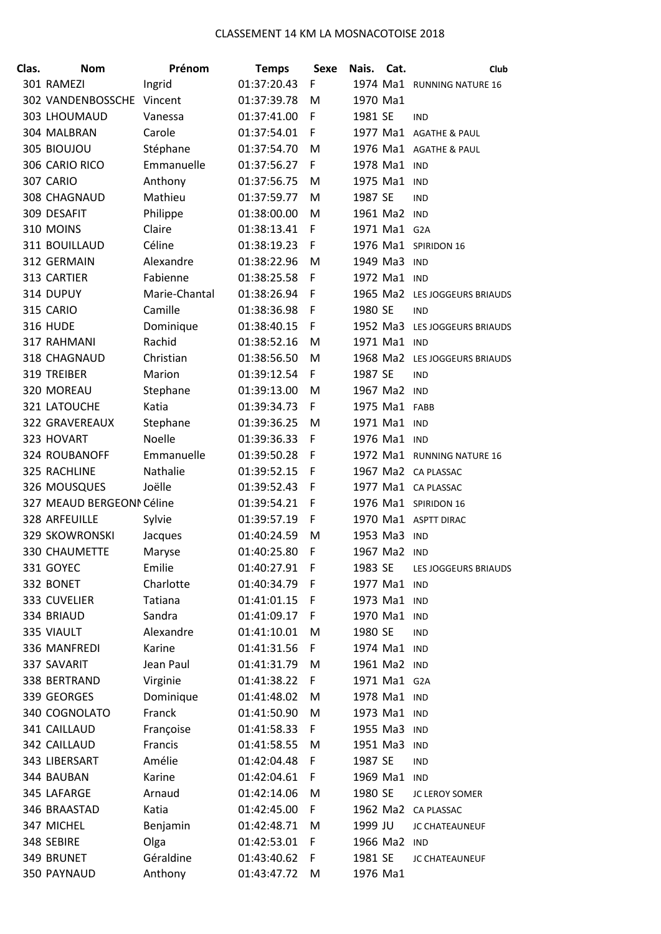| Clas. | <b>Nom</b>                | Prénom        | <b>Temps</b> | <b>Sexe</b> | Nais.    | Cat.          | Club                          |
|-------|---------------------------|---------------|--------------|-------------|----------|---------------|-------------------------------|
|       | 301 RAMEZI                | Ingrid        | 01:37:20.43  | F           |          |               | 1974 Ma1 RUNNING NATURE 16    |
|       | 302 VANDENBOSSCHE         | Vincent       | 01:37:39.78  | M           | 1970 Ma1 |               |                               |
|       | 303 LHOUMAUD              | Vanessa       | 01:37:41.00  | F           | 1981 SE  |               | <b>IND</b>                    |
|       | 304 MALBRAN               | Carole        | 01:37:54.01  | F           |          |               | 1977 Ma1 AGATHE & PAUL        |
|       | 305 BIOUJOU               | Stéphane      | 01:37:54.70  | M           |          |               | 1976 Ma1 AGATHE & PAUL        |
|       | 306 CARIO RICO            | Emmanuelle    | 01:37:56.27  | F           |          | 1978 Ma1 IND  |                               |
|       | 307 CARIO                 | Anthony       | 01:37:56.75  | M           | 1975 Ma1 |               | <b>IND</b>                    |
|       | 308 CHAGNAUD              | Mathieu       | 01:37:59.77  | M           | 1987 SE  |               | <b>IND</b>                    |
|       | 309 DESAFIT               | Philippe      | 01:38:00.00  | M           |          | 1961 Ma2 IND  |                               |
|       | 310 MOINS                 | Claire        | 01:38:13.41  | F           |          | 1971 Ma1 G2A  |                               |
|       | 311 BOUILLAUD             | Céline        | 01:38:19.23  | F           |          |               | 1976 Ma1 SPIRIDON 16          |
|       | 312 GERMAIN               | Alexandre     | 01:38:22.96  | M           | 1949 Ma3 |               | <b>IND</b>                    |
|       | 313 CARTIER               | Fabienne      | 01:38:25.58  | F           | 1972 Ma1 |               | <b>IND</b>                    |
|       | 314 DUPUY                 | Marie-Chantal | 01:38:26.94  | F           |          |               | 1965 Ma2 LES JOGGEURS BRIAUDS |
|       | 315 CARIO                 | Camille       | 01:38:36.98  | F           | 1980 SE  |               | <b>IND</b>                    |
|       | <b>316 HUDE</b>           | Dominique     | 01:38:40.15  | F           |          |               | 1952 Ma3 LES JOGGEURS BRIAUDS |
|       | 317 RAHMANI               | Rachid        | 01:38:52.16  | M           | 1971 Ma1 |               | <b>IND</b>                    |
|       | 318 CHAGNAUD              | Christian     | 01:38:56.50  | M           |          | 1968 Ma2      | LES JOGGEURS BRIAUDS          |
|       | 319 TREIBER               | Marion        | 01:39:12.54  | F           | 1987 SE  |               | <b>IND</b>                    |
|       | 320 MOREAU                | Stephane      | 01:39:13.00  | M           |          | 1967 Ma2 IND  |                               |
|       | 321 LATOUCHE              | Katia         | 01:39:34.73  | F           |          | 1975 Ma1 FABB |                               |
|       | <b>322 GRAVEREAUX</b>     | Stephane      | 01:39:36.25  | M           | 1971 Ma1 |               | IND                           |
|       | 323 HOVART                | Noelle        | 01:39:36.33  | F           |          | 1976 Ma1 IND  |                               |
|       | 324 ROUBANOFF             | Emmanuelle    | 01:39:50.28  | F           |          |               | 1972 Ma1 RUNNING NATURE 16    |
|       | 325 RACHLINE              | Nathalie      | 01:39:52.15  | F           |          |               | 1967 Ma2 CA PLASSAC           |
|       | 326 MOUSQUES              | Joëlle        | 01:39:52.43  | F           |          |               | 1977 Ma1 CA PLASSAC           |
|       | 327 MEAUD BERGEONN Céline |               | 01:39:54.21  | F           |          |               | 1976 Ma1 SPIRIDON 16          |
|       | 328 ARFEUILLE             | Sylvie        | 01:39:57.19  | F           |          |               | 1970 Ma1 ASPTT DIRAC          |
|       | 329 SKOWRONSKI            | Jacques       | 01:40:24.59  | M           | 1953 Ma3 |               | <b>IND</b>                    |
|       | <b>330 CHAUMETTE</b>      | Maryse        | 01:40:25.80  | F           |          | 1967 Ma2 IND  |                               |
|       | 331 GOYEC                 | Emilie        | 01:40:27.91  | F           | 1983 SE  |               | LES JOGGEURS BRIAUDS          |
|       | 332 BONET                 | Charlotte     | 01:40:34.79  | F           |          | 1977 Ma1 IND  |                               |
|       | 333 CUVELIER              | Tatiana       | 01:41:01.15  | F           |          | 1973 Ma1 IND  |                               |
|       | 334 BRIAUD                | Sandra        | 01:41:09.17  | F           |          | 1970 Ma1      | <b>IND</b>                    |
|       | 335 VIAULT                | Alexandre     | 01:41:10.01  | M           | 1980 SE  |               | <b>IND</b>                    |
|       | 336 MANFREDI              | Karine        | 01:41:31.56  | F           |          | 1974 Ma1 IND  |                               |
|       | 337 SAVARIT               | Jean Paul     | 01:41:31.79  | M           |          | 1961 Ma2 IND  |                               |
|       | 338 BERTRAND              | Virginie      | 01:41:38.22  | F           |          | 1971 Ma1 G2A  |                               |
|       | 339 GEORGES               | Dominique     | 01:41:48.02  | M           |          | 1978 Ma1 IND  |                               |
|       | 340 COGNOLATO             | Franck        | 01:41:50.90  | M           |          | 1973 Ma1 IND  |                               |
|       | 341 CAILLAUD              | Françoise     | 01:41:58.33  | F           |          | 1955 Ma3 IND  |                               |
|       | 342 CAILLAUD              | Francis       | 01:41:58.55  | M           | 1951 Ma3 |               | <b>IND</b>                    |
|       | 343 LIBERSART             | Amélie        | 01:42:04.48  | F           | 1987 SE  |               | <b>IND</b>                    |
|       | 344 BAUBAN                | Karine        | 01:42:04.61  | F           |          | 1969 Ma1 IND  |                               |
|       | 345 LAFARGE               | Arnaud        | 01:42:14.06  | M           | 1980 SE  |               | JC LEROY SOMER                |
|       | 346 BRAASTAD              | Katia         | 01:42:45.00  | F           |          |               | 1962 Ma2 CA PLASSAC           |
|       | 347 MICHEL                | Benjamin      | 01:42:48.71  | M           | 1999 JU  |               | JC CHATEAUNEUF                |
|       | 348 SEBIRE                | Olga          | 01:42:53.01  | F           |          | 1966 Ma2 IND  |                               |
|       | 349 BRUNET                | Géraldine     | 01:43:40.62  | F           | 1981 SE  |               | JC CHATEAUNEUF                |
|       | 350 PAYNAUD               | Anthony       | 01:43:47.72  | M           | 1976 Ma1 |               |                               |